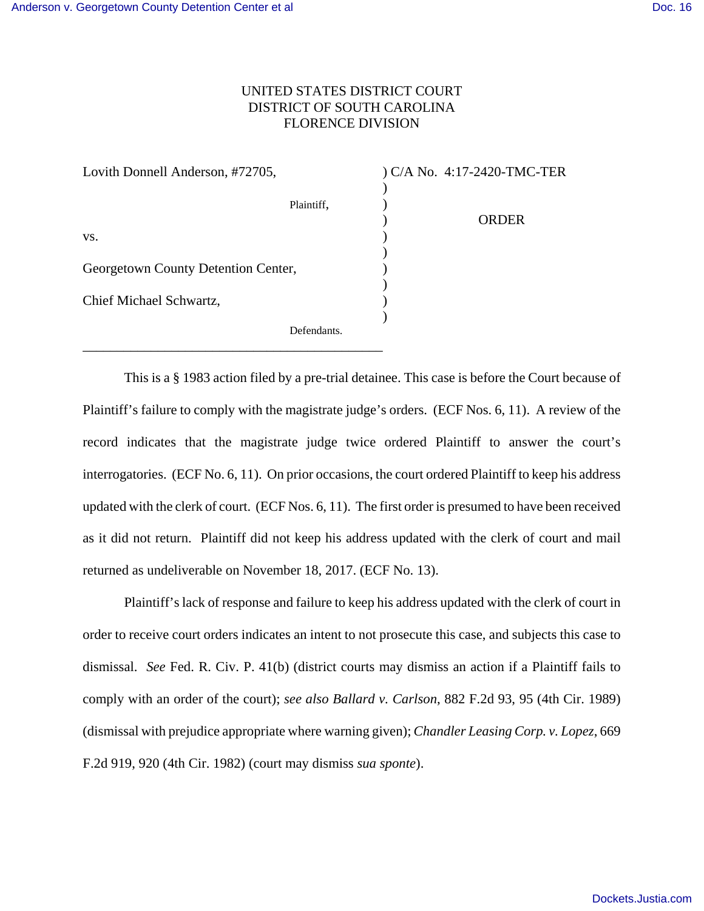## UNITED STATES DISTRICT COURT DISTRICT OF SOUTH CAROLINA FLORENCE DIVISION

| Lovith Donnell Anderson, #72705,    | ) C/A No. 4:17-2420-TMC-TER |
|-------------------------------------|-----------------------------|
|                                     |                             |
| Plaintiff,                          |                             |
|                                     | <b>ORDER</b>                |
| VS.                                 |                             |
|                                     |                             |
| Georgetown County Detention Center, |                             |
|                                     |                             |
| Chief Michael Schwartz,             |                             |
|                                     |                             |
| Defendants.                         |                             |

\_\_\_\_\_\_\_\_\_\_\_\_\_\_\_\_\_\_\_\_\_\_\_\_\_\_\_\_\_\_\_\_\_\_\_\_\_\_\_\_\_\_\_\_

This is a § 1983 action filed by a pre-trial detainee. This case is before the Court because of Plaintiff's failure to comply with the magistrate judge's orders. (ECF Nos. 6, 11). A review of the record indicates that the magistrate judge twice ordered Plaintiff to answer the court's interrogatories. (ECF No. 6, 11). On prior occasions, the court ordered Plaintiff to keep his address updated with the clerk of court. (ECF Nos. 6, 11). The first order is presumed to have been received as it did not return. Plaintiff did not keep his address updated with the clerk of court and mail returned as undeliverable on November 18, 2017. (ECF No. 13).

Plaintiff's lack of response and failure to keep his address updated with the clerk of court in order to receive court orders indicates an intent to not prosecute this case, and subjects this case to dismissal. *See* Fed. R. Civ. P. 41(b) (district courts may dismiss an action if a Plaintiff fails to comply with an order of the court); *see also Ballard v. Carlson*, 882 F.2d 93, 95 (4th Cir. 1989) (dismissal with prejudice appropriate where warning given); *Chandler Leasing Corp. v. Lopez*, 669 F.2d 919, 920 (4th Cir. 1982) (court may dismiss *sua sponte*).